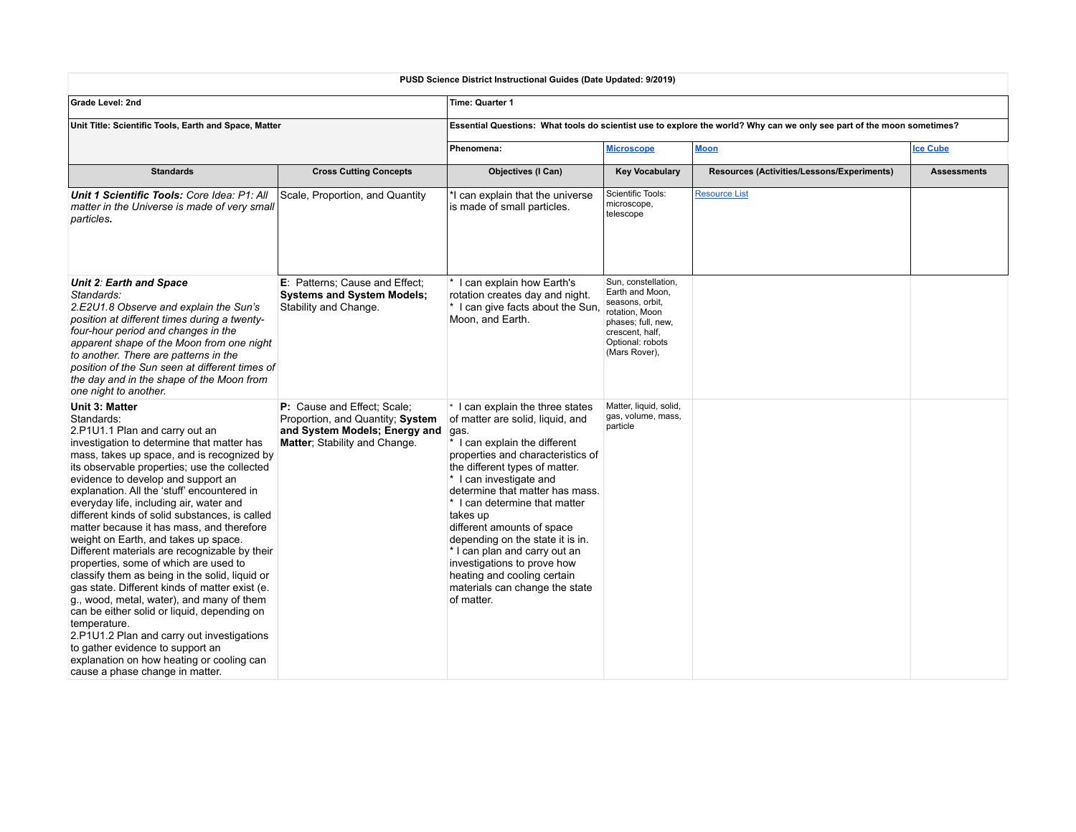| PUSD Science District Instructional Guides (Date Updated: 9/2019)                                                                                                                                                                                                                                                                                                                                                                                                                                                                                                                                                                                                                                                                                                                                                                                                                                                                                             |                                                                                                                                   |                                                                                                                                                                                                                                                                                                                                                                                                                                                                                                                        |                                                                                                                                                           |                                            |                    |  |  |
|---------------------------------------------------------------------------------------------------------------------------------------------------------------------------------------------------------------------------------------------------------------------------------------------------------------------------------------------------------------------------------------------------------------------------------------------------------------------------------------------------------------------------------------------------------------------------------------------------------------------------------------------------------------------------------------------------------------------------------------------------------------------------------------------------------------------------------------------------------------------------------------------------------------------------------------------------------------|-----------------------------------------------------------------------------------------------------------------------------------|------------------------------------------------------------------------------------------------------------------------------------------------------------------------------------------------------------------------------------------------------------------------------------------------------------------------------------------------------------------------------------------------------------------------------------------------------------------------------------------------------------------------|-----------------------------------------------------------------------------------------------------------------------------------------------------------|--------------------------------------------|--------------------|--|--|
| Grade Level: 2nd                                                                                                                                                                                                                                                                                                                                                                                                                                                                                                                                                                                                                                                                                                                                                                                                                                                                                                                                              |                                                                                                                                   | Time: Quarter 1                                                                                                                                                                                                                                                                                                                                                                                                                                                                                                        |                                                                                                                                                           |                                            |                    |  |  |
| Unit Title: Scientific Tools, Earth and Space, Matter                                                                                                                                                                                                                                                                                                                                                                                                                                                                                                                                                                                                                                                                                                                                                                                                                                                                                                         |                                                                                                                                   | Essential Questions: What tools do scientist use to explore the world? Why can we only see part of the moon sometimes?                                                                                                                                                                                                                                                                                                                                                                                                 |                                                                                                                                                           |                                            |                    |  |  |
|                                                                                                                                                                                                                                                                                                                                                                                                                                                                                                                                                                                                                                                                                                                                                                                                                                                                                                                                                               |                                                                                                                                   | Phenomena:<br><b>Microscope</b>                                                                                                                                                                                                                                                                                                                                                                                                                                                                                        |                                                                                                                                                           | <b>Moon</b>                                | <b>Ice Cube</b>    |  |  |
| <b>Standards</b>                                                                                                                                                                                                                                                                                                                                                                                                                                                                                                                                                                                                                                                                                                                                                                                                                                                                                                                                              | <b>Cross Cutting Concepts</b>                                                                                                     | Objectives (I Can)                                                                                                                                                                                                                                                                                                                                                                                                                                                                                                     | <b>Key Vocabulary</b>                                                                                                                                     | Resources (Activities/Lessons/Experiments) | <b>Assessments</b> |  |  |
| Unit 1 Scientific Tools: Core Idea: P1: All<br>matter in the Universe is made of very small<br>particles.                                                                                                                                                                                                                                                                                                                                                                                                                                                                                                                                                                                                                                                                                                                                                                                                                                                     | Scale, Proportion, and Quantity                                                                                                   | *I can explain that the universe<br>is made of small particles.                                                                                                                                                                                                                                                                                                                                                                                                                                                        | Scientific Tools:<br>microscope,<br>telescope                                                                                                             | <b>Resource List</b>                       |                    |  |  |
| Unit 2: Earth and Space<br>Standards:<br>2.E2U1.8 Observe and explain the Sun's<br>position at different times during a twenty-<br>four-hour period and changes in the<br>apparent shape of the Moon from one night<br>to another. There are patterns in the<br>position of the Sun seen at different times of<br>the day and in the shape of the Moon from<br>one night to another.                                                                                                                                                                                                                                                                                                                                                                                                                                                                                                                                                                          | <b>E</b> : Patterns; Cause and Effect;<br><b>Systems and System Models:</b><br>Stability and Change.                              | * I can explain how Earth's<br>rotation creates day and night.<br>* I can give facts about the Sun.<br>Moon, and Earth.                                                                                                                                                                                                                                                                                                                                                                                                | Sun, constellation,<br>Earth and Moon,<br>seasons, orbit,<br>rotation, Moon<br>phases; full, new,<br>crescent, half,<br>Optional: robots<br>(Mars Rover), |                                            |                    |  |  |
| Unit 3: Matter<br>Standards:<br>2.P1U1.1 Plan and carry out an<br>investigation to determine that matter has<br>mass, takes up space, and is recognized by<br>its observable properties; use the collected<br>evidence to develop and support an<br>explanation. All the 'stuff' encountered in<br>everyday life, including air, water and<br>different kinds of solid substances, is called<br>matter because it has mass, and therefore<br>weight on Earth, and takes up space.<br>Different materials are recognizable by their<br>properties, some of which are used to<br>classify them as being in the solid, liquid or<br>gas state. Different kinds of matter exist (e.<br>g., wood, metal, water), and many of them<br>can be either solid or liquid, depending on<br>temperature.<br>2.P1U1.2 Plan and carry out investigations<br>to gather evidence to support an<br>explanation on how heating or cooling can<br>cause a phase change in matter. | P: Cause and Effect: Scale:<br>Proportion, and Quantity; System<br>and System Models; Energy and<br>Matter: Stability and Change. | $\cdot$ I can explain the three states<br>of matter are solid, liquid, and<br>gas.<br>* I can explain the different<br>properties and characteristics of<br>the different types of matter.<br>* I can investigate and<br>determine that matter has mass.<br>* I can determine that matter<br>takes up<br>different amounts of space<br>depending on the state it is in.<br>* I can plan and carry out an<br>investigations to prove how<br>heating and cooling certain<br>materials can change the state<br>of matter. | Matter, liquid, solid,<br>gas, volume, mass,<br>particle                                                                                                  |                                            |                    |  |  |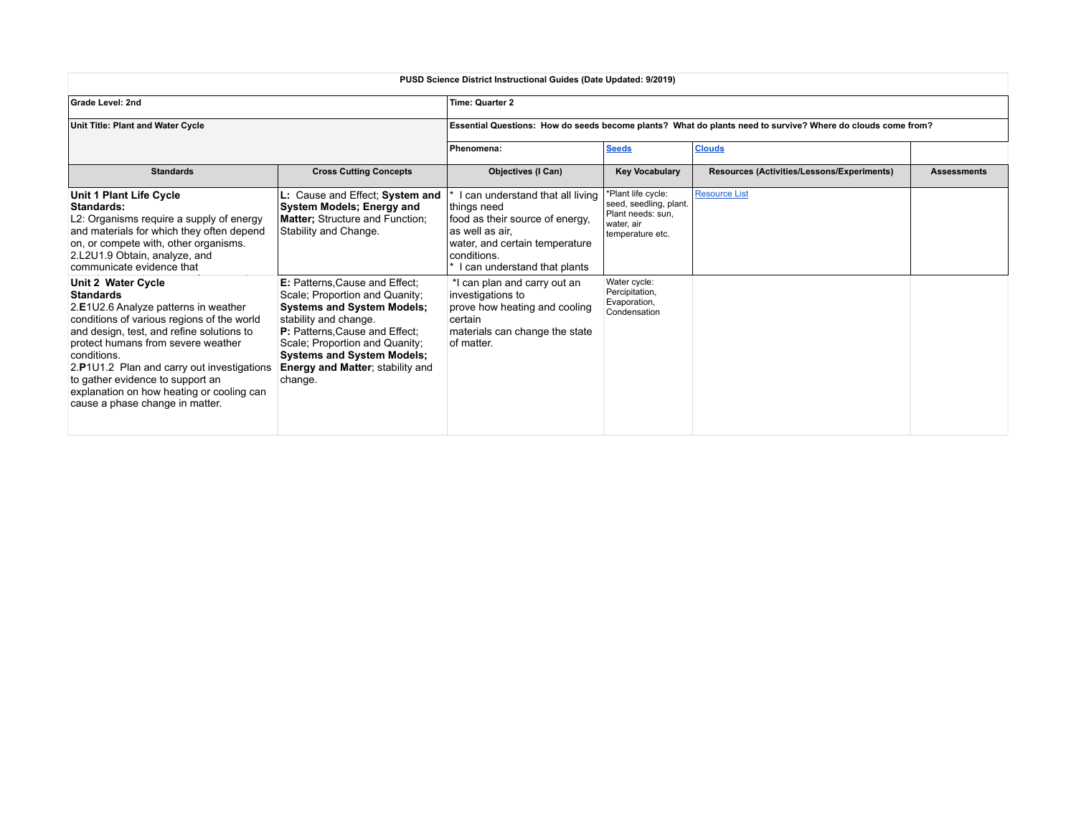| PUSD Science District Instructional Guides (Date Updated: 9/2019)                                                                                                                                                                                                                                                                                                                                |                                                                                                                                                                                                                                                                                               |                                                                                                                                                                                         |                                                                                                     |                                            |                    |  |  |
|--------------------------------------------------------------------------------------------------------------------------------------------------------------------------------------------------------------------------------------------------------------------------------------------------------------------------------------------------------------------------------------------------|-----------------------------------------------------------------------------------------------------------------------------------------------------------------------------------------------------------------------------------------------------------------------------------------------|-----------------------------------------------------------------------------------------------------------------------------------------------------------------------------------------|-----------------------------------------------------------------------------------------------------|--------------------------------------------|--------------------|--|--|
| <b>Grade Level: 2nd</b>                                                                                                                                                                                                                                                                                                                                                                          |                                                                                                                                                                                                                                                                                               | <b>Time: Quarter 2</b>                                                                                                                                                                  |                                                                                                     |                                            |                    |  |  |
| Unit Title: Plant and Water Cycle                                                                                                                                                                                                                                                                                                                                                                |                                                                                                                                                                                                                                                                                               | Essential Questions: How do seeds become plants? What do plants need to survive? Where do clouds come from?                                                                             |                                                                                                     |                                            |                    |  |  |
|                                                                                                                                                                                                                                                                                                                                                                                                  |                                                                                                                                                                                                                                                                                               | Phenomena:                                                                                                                                                                              | <b>Seeds</b>                                                                                        | <b>Clouds</b>                              |                    |  |  |
| <b>Standards</b>                                                                                                                                                                                                                                                                                                                                                                                 | <b>Cross Cutting Concepts</b>                                                                                                                                                                                                                                                                 | <b>Objectives (I Can)</b>                                                                                                                                                               | <b>Key Vocabulary</b>                                                                               | Resources (Activities/Lessons/Experiments) | <b>Assessments</b> |  |  |
| Unit 1 Plant Life Cycle<br>Standards:<br>L2: Organisms require a supply of energy<br>and materials for which they often depend<br>on, or compete with, other organisms.<br>2.L2U1.9 Obtain, analyze, and<br>communicate evidence that                                                                                                                                                            | L: Cause and Effect; System and<br>System Models; Energy and<br>Matter; Structure and Function;<br>Stability and Change.                                                                                                                                                                      | I can understand that all living<br>things need<br>food as their source of energy,<br>las well as air.<br>water, and certain temperature<br>conditions.<br>I can understand that plants | *Plant life cycle:<br>seed, seedling, plant.<br>Plant needs: sun,<br>water, air<br>temperature etc. | <b>Resource List</b>                       |                    |  |  |
| Unit 2 Water Cycle<br><b>Standards</b><br>2.E1U2.6 Analyze patterns in weather<br>conditions of various regions of the world<br>and design, test, and refine solutions to<br>protect humans from severe weather<br>conditions.<br>2.P1U1.2 Plan and carry out investigations<br>to gather evidence to support an<br>explanation on how heating or cooling can<br>cause a phase change in matter. | E: Patterns, Cause and Effect;<br>Scale; Proportion and Quanity;<br><b>Systems and System Models;</b><br>stability and change.<br>P: Patterns, Cause and Effect;<br>Scale; Proportion and Quanity;<br><b>Systems and System Models;</b><br><b>Energy and Matter; stability and</b><br>change. | *I can plan and carry out an<br>investigations to<br>prove how heating and cooling<br>certain<br>materials can change the state<br>of matter.                                           | Water cycle:<br>Percipitation,<br>Evaporation,<br>Condensation                                      |                                            |                    |  |  |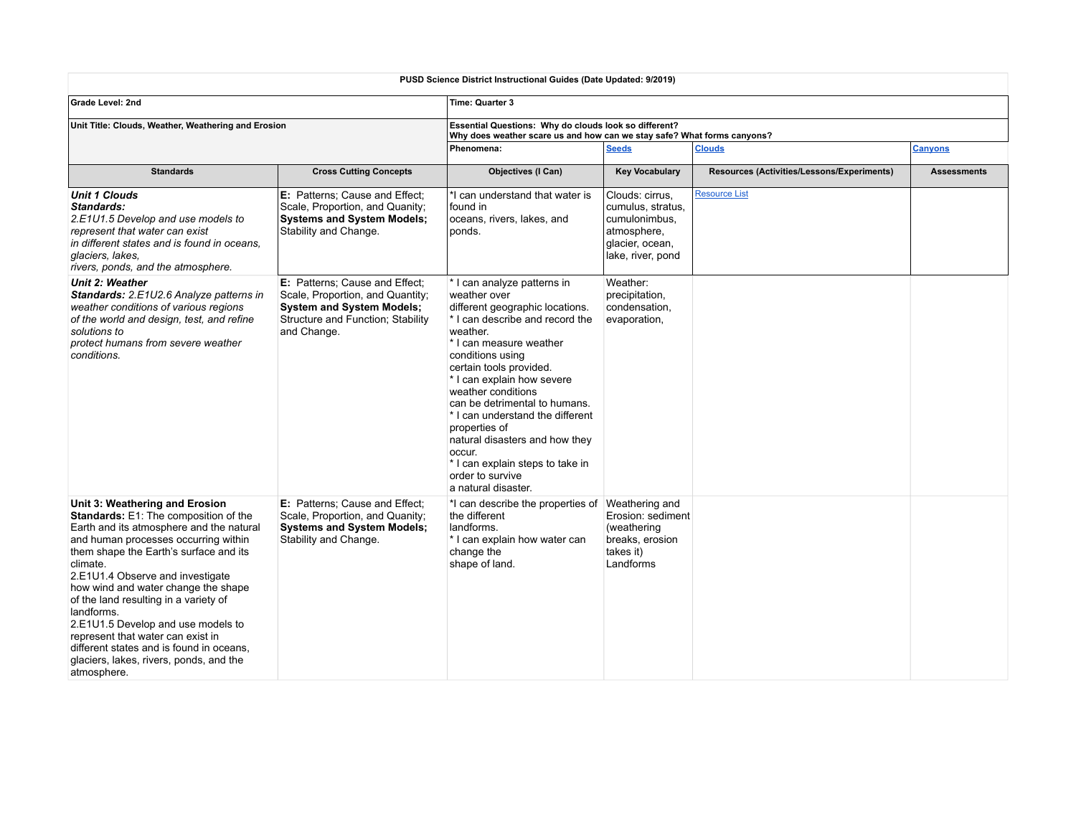| PUSD Science District Instructional Guides (Date Updated: 9/2019)                                                                                                                                                                                                                                                                                                                                                                                                                                                                    |                                                                                                                                                            |                                                                                                                                                                                                                                                                                                                                                                                                                                                                              |                                                                                                              |                                            |                    |  |  |
|--------------------------------------------------------------------------------------------------------------------------------------------------------------------------------------------------------------------------------------------------------------------------------------------------------------------------------------------------------------------------------------------------------------------------------------------------------------------------------------------------------------------------------------|------------------------------------------------------------------------------------------------------------------------------------------------------------|------------------------------------------------------------------------------------------------------------------------------------------------------------------------------------------------------------------------------------------------------------------------------------------------------------------------------------------------------------------------------------------------------------------------------------------------------------------------------|--------------------------------------------------------------------------------------------------------------|--------------------------------------------|--------------------|--|--|
| <b>Grade Level: 2nd</b>                                                                                                                                                                                                                                                                                                                                                                                                                                                                                                              |                                                                                                                                                            | Time: Quarter 3                                                                                                                                                                                                                                                                                                                                                                                                                                                              |                                                                                                              |                                            |                    |  |  |
| Unit Title: Clouds, Weather, Weathering and Erosion                                                                                                                                                                                                                                                                                                                                                                                                                                                                                  |                                                                                                                                                            | Essential Questions: Why do clouds look so different?<br>Why does weather scare us and how can we stay safe? What forms canyons?                                                                                                                                                                                                                                                                                                                                             |                                                                                                              |                                            |                    |  |  |
|                                                                                                                                                                                                                                                                                                                                                                                                                                                                                                                                      |                                                                                                                                                            | Phenomena:                                                                                                                                                                                                                                                                                                                                                                                                                                                                   | <b>Seeds</b>                                                                                                 | <b>Clouds</b>                              | <b>Canyons</b>     |  |  |
| <b>Standards</b>                                                                                                                                                                                                                                                                                                                                                                                                                                                                                                                     | <b>Cross Cutting Concepts</b>                                                                                                                              | Objectives (I Can)                                                                                                                                                                                                                                                                                                                                                                                                                                                           | <b>Key Vocabulary</b>                                                                                        | Resources (Activities/Lessons/Experiments) | <b>Assessments</b> |  |  |
| <b>Unit 1 Clouds</b><br>Standards:<br>2.E1U1.5 Develop and use models to<br>represent that water can exist<br>in different states and is found in oceans.<br>glaciers, lakes,<br>rivers, ponds, and the atmosphere.                                                                                                                                                                                                                                                                                                                  | E: Patterns: Cause and Effect:<br>Scale, Proportion, and Quanity;<br><b>Systems and System Models;</b><br>Stability and Change.                            | *I can understand that water is<br>found in<br>oceans, rivers, lakes, and<br>ponds.                                                                                                                                                                                                                                                                                                                                                                                          | Clouds: cirrus,<br>cumulus, stratus,<br>cumulonimbus,<br>atmosphere,<br>glacier, ocean,<br>lake, river, pond | <b>Resource List</b>                       |                    |  |  |
| <b>Unit 2: Weather</b><br>Standards: 2.E1U2.6 Analyze patterns in<br>weather conditions of various regions<br>of the world and design, test, and refine<br>solutions to<br>protect humans from severe weather<br>conditions.                                                                                                                                                                                                                                                                                                         | E: Patterns; Cause and Effect;<br>Scale, Proportion, and Quantity;<br><b>System and System Models;</b><br>Structure and Function; Stability<br>and Change. | * I can analyze patterns in<br>weather over<br>different geographic locations.<br>* I can describe and record the<br>weather.<br>* I can measure weather<br>conditions using<br>certain tools provided.<br>* I can explain how severe<br>weather conditions<br>can be detrimental to humans.<br>* I can understand the different<br>properties of<br>natural disasters and how they<br>occur.<br>* I can explain steps to take in<br>order to survive<br>a natural disaster. | Weather:<br>precipitation,<br>condensation,<br>evaporation,                                                  |                                            |                    |  |  |
| Unit 3: Weathering and Erosion<br>Standards: E1: The composition of the<br>Earth and its atmosphere and the natural<br>and human processes occurring within<br>them shape the Earth's surface and its<br>climate.<br>2.E1U1.4 Observe and investigate<br>how wind and water change the shape<br>of the land resulting in a variety of<br>landforms.<br>2.E1U1.5 Develop and use models to<br>represent that water can exist in<br>different states and is found in oceans.<br>glaciers, lakes, rivers, ponds, and the<br>atmosphere. | <b>E:</b> Patterns: Cause and Effect:<br>Scale, Proportion, and Quanity;<br><b>Systems and System Models;</b><br>Stability and Change.                     | *I can describe the properties of Weathering and<br>the different<br>landforms.<br>* I can explain how water can<br>change the<br>shape of land.                                                                                                                                                                                                                                                                                                                             | Erosion: sediment<br>(weathering<br>breaks, erosion<br>takes it)<br>Landforms                                |                                            |                    |  |  |